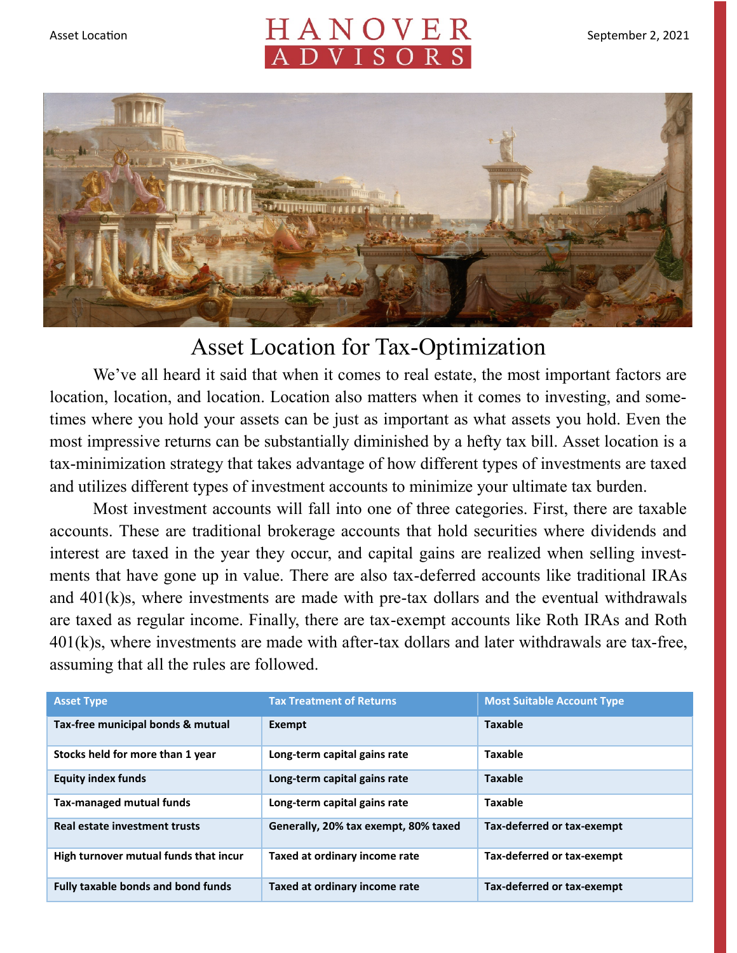## Asset Location  $H A N O V E R$  September 2, 2021



## Asset Location for Tax-Optimization

We've all heard it said that when it comes to real estate, the most important factors are location, location, and location. Location also matters when it comes to investing, and sometimes where you hold your assets can be just as important as what assets you hold. Even the most impressive returns can be substantially diminished by a hefty tax bill. Asset location is a tax-minimization strategy that takes advantage of how different types of investments are taxed and utilizes different types of investment accounts to minimize your ultimate tax burden.

Most investment accounts will fall into one of three categories. First, there are taxable accounts. These are traditional brokerage accounts that hold securities where dividends and interest are taxed in the year they occur, and capital gains are realized when selling investments that have gone up in value. There are also tax-deferred accounts like traditional IRAs and 401(k)s, where investments are made with pre-tax dollars and the eventual withdrawals are taxed as regular income. Finally, there are tax-exempt accounts like Roth IRAs and Roth 401(k)s, where investments are made with after-tax dollars and later withdrawals are tax-free, assuming that all the rules are followed.

| <b>Asset Type</b>                         | <b>Tax Treatment of Returns</b>      | <b>Most Suitable Account Type</b> |
|-------------------------------------------|--------------------------------------|-----------------------------------|
| Tax-free municipal bonds & mutual         | Exempt                               | <b>Taxable</b>                    |
| Stocks held for more than 1 year          | Long-term capital gains rate         | <b>Taxable</b>                    |
| <b>Equity index funds</b>                 | Long-term capital gains rate         | <b>Taxable</b>                    |
| Tax-managed mutual funds                  | Long-term capital gains rate         | <b>Taxable</b>                    |
| Real estate investment trusts             | Generally, 20% tax exempt, 80% taxed | Tax-deferred or tax-exempt        |
| High turnover mutual funds that incur     | Taxed at ordinary income rate        | Tax-deferred or tax-exempt        |
| <b>Fully taxable bonds and bond funds</b> | Taxed at ordinary income rate        | Tax-deferred or tax-exempt        |